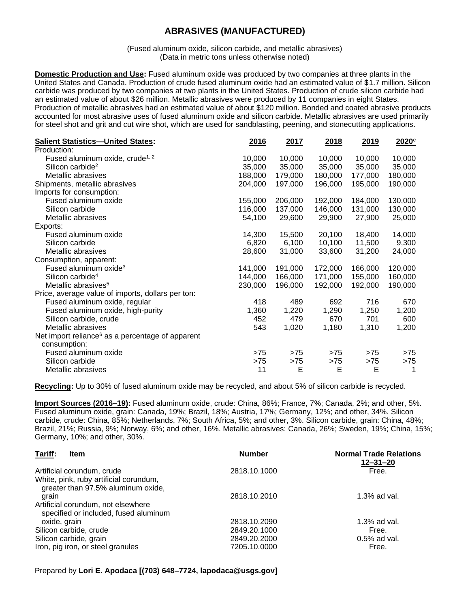## **ABRASIVES (MANUFACTURED)**

(Fused aluminum oxide, silicon carbide, and metallic abrasives) (Data in metric tons unless otherwise noted)

**Domestic Production and Use:** Fused aluminum oxide was produced by two companies at three plants in the United States and Canada. Production of crude fused aluminum oxide had an estimated value of \$1.7 million. Silicon carbide was produced by two companies at two plants in the United States. Production of crude silicon carbide had an estimated value of about \$26 million. Metallic abrasives were produced by 11 companies in eight States. Production of metallic abrasives had an estimated value of about \$120 million. Bonded and coated abrasive products accounted for most abrasive uses of fused aluminum oxide and silicon carbide. Metallic abrasives are used primarily for steel shot and grit and cut wire shot, which are used for sandblasting, peening, and stonecutting applications.

| <b>Salient Statistics-United States:</b>                     | 2016    | 2017    | 2018    | 2019    | $2020^{\circ}$ |
|--------------------------------------------------------------|---------|---------|---------|---------|----------------|
| Production:                                                  |         |         |         |         |                |
| Fused aluminum oxide, crude <sup>1, 2</sup>                  | 10,000  | 10,000  | 10,000  | 10,000  | 10,000         |
| Silicon carbide <sup>2</sup>                                 | 35,000  | 35,000  | 35,000  | 35,000  | 35,000         |
| Metallic abrasives                                           | 188,000 | 179,000 | 180,000 | 177,000 | 180,000        |
| Shipments, metallic abrasives                                | 204,000 | 197,000 | 196,000 | 195,000 | 190,000        |
| Imports for consumption:                                     |         |         |         |         |                |
| Fused aluminum oxide                                         | 155,000 | 206,000 | 192,000 | 184,000 | 130,000        |
| Silicon carbide                                              | 116,000 | 137,000 | 146,000 | 131,000 | 130,000        |
| Metallic abrasives                                           | 54,100  | 29,600  | 29,900  | 27,900  | 25,000         |
| Exports:                                                     |         |         |         |         |                |
| Fused aluminum oxide                                         | 14,300  | 15,500  | 20,100  | 18,400  | 14,000         |
| Silicon carbide                                              | 6,820   | 6,100   | 10,100  | 11,500  | 9,300          |
| Metallic abrasives                                           | 28,600  | 31,000  | 33,600  | 31,200  | 24,000         |
| Consumption, apparent:                                       |         |         |         |         |                |
| Fused aluminum oxide <sup>3</sup>                            | 141,000 | 191,000 | 172,000 | 166,000 | 120,000        |
| Silicon carbide <sup>4</sup>                                 | 144,000 | 166,000 | 171,000 | 155,000 | 160,000        |
| Metallic abrasives <sup>5</sup>                              | 230,000 | 196,000 | 192,000 | 192,000 | 190,000        |
| Price, average value of imports, dollars per ton:            |         |         |         |         |                |
| Fused aluminum oxide, regular                                | 418     | 489     | 692     | 716     | 670            |
| Fused aluminum oxide, high-purity                            | 1,360   | 1,220   | 1,290   | 1,250   | 1,200          |
| Silicon carbide, crude                                       | 452     | 479     | 670     | 701     | 600            |
| Metallic abrasives                                           | 543     | 1,020   | 1,180   | 1,310   | 1,200          |
| Net import reliance <sup>6</sup> as a percentage of apparent |         |         |         |         |                |
| consumption:                                                 |         |         |         |         |                |
| Fused aluminum oxide                                         | >75     | >75     | >75     | >75     | >75            |
| Silicon carbide                                              | $>75$   | $>75$   | >75     | >75     | $>75$          |
| Metallic abrasives                                           | 11      | Е       | Е       | E       | 1              |

**Recycling:** Up to 30% of fused aluminum oxide may be recycled, and about 5% of silicon carbide is recycled.

**Import Sources (2016–19):** Fused aluminum oxide, crude: China, 86%; France, 7%; Canada, 2%; and other, 5%. Fused aluminum oxide, grain: Canada, 19%; Brazil, 18%; Austria, 17%; Germany, 12%; and other, 34%. Silicon carbide, crude: China, 85%; Netherlands, 7%; South Africa, 5%; and other, 3%. Silicon carbide, grain: China, 48%; Brazil, 21%; Russia, 9%; Norway, 6%; and other, 16%. Metallic abrasives: Canada, 26%; Sweden, 19%; China, 15%; Germany, 10%; and other, 30%.

| Tariff:<br><b>Item</b>                                                       | <b>Number</b> | <b>Normal Trade Relations</b><br>$12 - 31 - 20$ |
|------------------------------------------------------------------------------|---------------|-------------------------------------------------|
| Artificial corundum, crude                                                   | 2818.10.1000  | Free.                                           |
| White, pink, ruby artificial corundum,<br>greater than 97.5% aluminum oxide, |               |                                                 |
| grain                                                                        | 2818.10.2010  | $1.3\%$ ad val.                                 |
| Artificial corundum, not elsewhere<br>specified or included, fused aluminum  |               |                                                 |
| oxide, grain                                                                 | 2818.10.2090  | 1.3% ad val.                                    |
| Silicon carbide, crude                                                       | 2849.20.1000  | Free.                                           |
| Silicon carbide, grain                                                       | 2849.20.2000  | $0.5\%$ ad val.                                 |
| Iron, pig iron, or steel granules                                            | 7205.10.0000  | Free.                                           |

Prepared by **Lori E. Apodaca [(703) 648–7724, lapodaca@usgs.gov]**